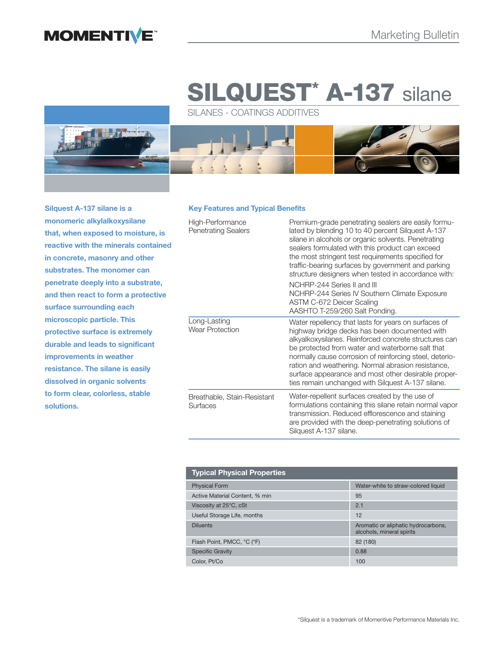# **SILQUEST\* A-137** silane

SILANES - COATINGS ADDITIVES



**Silquest A-137 silane is a monomeric alkylalkoxysilane that, when exposed to moisture, is reactive with the minerals contained in concrete, masonry and other substrates. The monomer can penetrate deeply into a substrate, and then react to form a protective surface surrounding each microscopic particle. This protective surface is extremely durable and leads to significant improvements in weather resistance. The silane is easily dissolved in organic solvents to form clear, colorless, stable solutions.**

#### **Key Features and Typical Benefits**

| High-Performance<br><b>Penetrating Sealers</b> | Premium-grade penetrating sealers are easily formu-<br>lated by blending 10 to 40 percent Silguest A-137<br>silane in alcohols or organic solvents. Penetrating<br>sealers formulated with this product can exceed<br>the most stringent test requirements specified for<br>traffic-bearing surfaces by government and parking<br>structure designers when tested in accordance with:<br>NCHRP-244 Series II and III<br>NCHRP-244 Series IV Southern Climate Exposure<br><b>ASTM C-672 Deicer Scaling</b><br>AASHTO T-259/260 Salt Ponding. |
|------------------------------------------------|---------------------------------------------------------------------------------------------------------------------------------------------------------------------------------------------------------------------------------------------------------------------------------------------------------------------------------------------------------------------------------------------------------------------------------------------------------------------------------------------------------------------------------------------|
| Long-Lasting<br><b>Wear Protection</b>         | Water repellency that lasts for years on surfaces of<br>highway bridge decks has been documented with<br>alkyalkoxysilanes. Reinforced concrete structures can<br>be protected from water and waterborne salt that<br>normally cause corrosion of reinforcing steel, deterio-<br>ration and weathering. Normal abrasion resistance,<br>surface appearance and most other desirable proper-<br>ties remain unchanged with Silquest A-137 silane.                                                                                             |
| Breathable, Stain-Resistant<br><b>Surfaces</b> | Water-repellent surfaces created by the use of<br>formulations containing this silane retain normal vapor<br>transmission. Reduced efflorescence and staining<br>are provided with the deep-penetrating solutions of<br>Silguest A-137 silane.                                                                                                                                                                                                                                                                                              |

| <b>Typical Physical Properties</b> |                                                                  |  |  |  |
|------------------------------------|------------------------------------------------------------------|--|--|--|
| <b>Physical Form</b>               | Water-white to straw-colored liquid                              |  |  |  |
| Active Material Content, % min     | 95                                                               |  |  |  |
| Viscosity at 25°C, cSt             | 2.1                                                              |  |  |  |
| Useful Storage Life, months        | 12                                                               |  |  |  |
| <b>Diluents</b>                    | Aromatic or aliphatic hydrocarbons,<br>alcohols, mineral spirits |  |  |  |
| Flash Point, PMCC, °C (°F)         | 82 (180)                                                         |  |  |  |
| <b>Specific Gravity</b>            | 0.88                                                             |  |  |  |
| Color, Pt/Co                       | 100                                                              |  |  |  |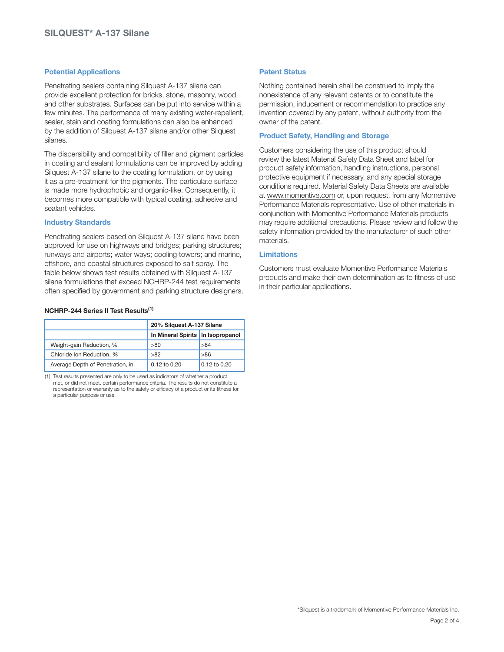#### **Potential Applications**

Penetrating sealers containing Silquest A-137 silane can provide excellent protection for bricks, stone, masonry, wood and other substrates. Surfaces can be put into service within a few minutes. The performance of many existing water-repellent, sealer, stain and coating formulations can also be enhanced by the addition of Silquest A-137 silane and/or other Silquest silanes.

The dispersibility and compatibility of filler and pigment particles in coating and sealant formulations can be improved by adding Silquest A-137 silane to the coating formulation, or by using it as a pre-treatment for the pigments. The particulate surface is made more hydrophobic and organic-like. Consequently, it becomes more compatible with typical coating, adhesive and sealant vehicles.

#### **Industry Standards**

Penetrating sealers based on Silquest A-137 silane have been approved for use on highways and bridges; parking structures; runways and airports; water ways; cooling towers; and marine, offshore, and coastal structures exposed to salt spray. The table below shows test results obtained with Silquest A-137 silane formulations that exceed NCHRP-244 test requirements often specified by government and parking structure designers.

#### **NCHRP-244 Series II Test Results(1)**

|                                  | 20% Silguest A-137 Silane         |              |  |
|----------------------------------|-----------------------------------|--------------|--|
|                                  | In Mineral Spirits In Isopropanol |              |  |
| Weight-gain Reduction, %         | >80                               | >84          |  |
| Chloride Ion Reduction, %        | >82                               | >86          |  |
| Average Depth of Penetration, in | $0.12$ to $0.20$                  | 0.12 to 0.20 |  |

(1) Test results presented are only to be used as indicators of whether a product met, or did not meet, certain performance criteria. The results do not constitute a representation or warranty as to the safety or efficacy of a product or its fitness for a particular purpose or use.

#### **Patent Status**

Nothing contained herein shall be construed to imply the nonexistence of any relevant patents or to constitute the permission, inducement or recommendation to practice any invention covered by any patent, without authority from the owner of the patent.

#### **Product Safety, Handling and Storage**

Customers considering the use of this product should review the latest Material Safety Data Sheet and label for product safety information, handling instructions, personal protective equipment if necessary, and any special storage conditions required. Material Safety Data Sheets are available at www.momentive.com or, upon request, from any Momentive Performance Materials representative. Use of other materials in conjunction with Momentive Performance Materials products may require additional precautions. Please review and follow the safety information provided by the manufacturer of such other materials.

#### **Limitations**

Customers must evaluate Momentive Performance Materials products and make their own determination as to fitness of use in their particular applications.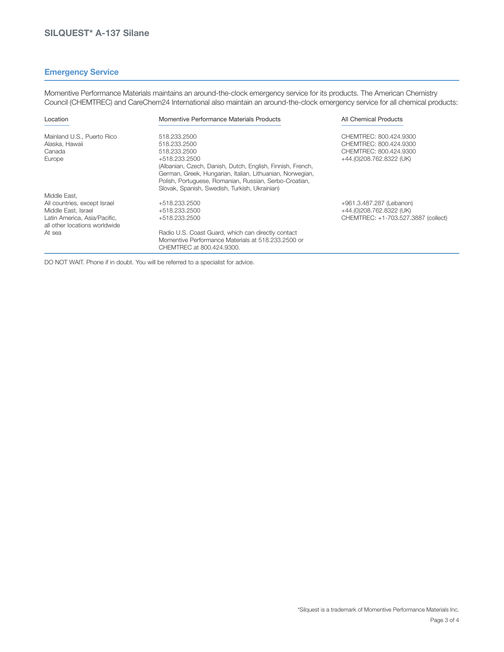### **Emergency Service**

Momentive Performance Materials maintains an around-the-clock emergency service for its products. The American Chemistry Council (CHEMTREC) and CareChem24 International also maintain an around-the-clock emergency service for all chemical products:

| Location                      | Momentive Performance Materials Products                                                                                              | All Chemical Products               |
|-------------------------------|---------------------------------------------------------------------------------------------------------------------------------------|-------------------------------------|
| Mainland U.S., Puerto Rico    | 518.233.2500                                                                                                                          | CHEMTREC: 800.424.9300              |
| Alaska, Hawaii                | 518.233.2500                                                                                                                          | CHEMTREC: 800.424.9300              |
| Canada                        | 518.233.2500                                                                                                                          | CHEMTREC: 800.424.9300              |
| Europe                        | +518.233.2500                                                                                                                         | +44.(0)208.762.8322 (UK)            |
|                               | (Albanian, Czech, Danish, Dutch, English, Finnish, French,                                                                            |                                     |
|                               | German, Greek, Hungarian, Italian, Lithuanian, Norwegian,                                                                             |                                     |
|                               | Polish, Portuguese, Romanian, Russian, Serbo-Croatian,                                                                                |                                     |
|                               | Slovak, Spanish, Swedish, Turkish, Ukrainian)                                                                                         |                                     |
| Middle East.                  |                                                                                                                                       |                                     |
| All countries, except Israel  | +518.233.2500                                                                                                                         | +961.3.487.287 (Lebanon)            |
| Middle East, Israel           | +518.233.2500                                                                                                                         | +44.(0)208.762.8322 (UK)            |
| Latin America, Asia/Pacific.  | +518.233.2500                                                                                                                         | CHEMTREC: +1-703.527.3887 (collect) |
| all other locations worldwide |                                                                                                                                       |                                     |
| At sea                        | Radio U.S. Coast Guard, which can directly contact<br>Momentive Performance Materials at 518,233,2500 or<br>CHEMTREC at 800.424.9300. |                                     |

DO NOT WAIT. Phone if in doubt. You will be referred to a specialist for advice.